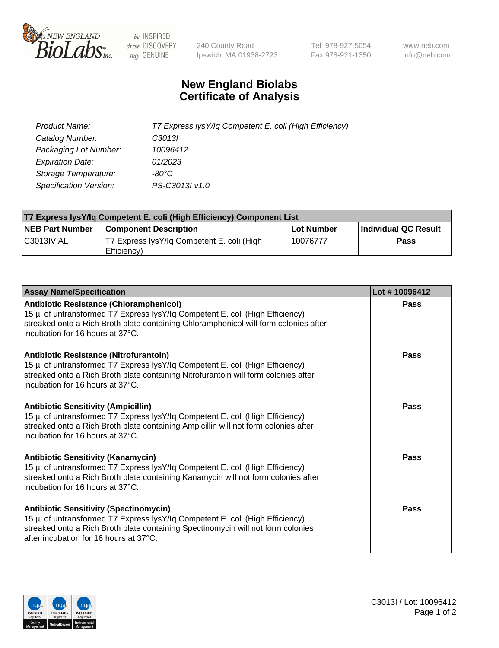

 $be$  INSPIRED drive DISCOVERY stay GENUINE

240 County Road Ipswich, MA 01938-2723 Tel 978-927-5054 Fax 978-921-1350 www.neb.com info@neb.com

## **New England Biolabs Certificate of Analysis**

| Product Name:                 | T7 Express lysY/lq Competent E. coli (High Efficiency) |
|-------------------------------|--------------------------------------------------------|
| Catalog Number:               | C <sub>3013</sub>                                      |
| Packaging Lot Number:         | 10096412                                               |
| <b>Expiration Date:</b>       | 01/2023                                                |
| Storage Temperature:          | -80°C                                                  |
| <b>Specification Version:</b> | PS-C3013I v1.0                                         |

| T7 Express lysY/lq Competent E. coli (High Efficiency) Component List |                                                           |            |                      |  |
|-----------------------------------------------------------------------|-----------------------------------------------------------|------------|----------------------|--|
| <b>NEB Part Number</b>                                                | <b>Component Description</b>                              | Lot Number | Individual QC Result |  |
| C3013IVIAL                                                            | T7 Express lysY/lg Competent E. coli (High<br>Efficiency) | 10076777   | <b>Pass</b>          |  |

| <b>Assay Name/Specification</b>                                                                                                                                                                                                                              | Lot #10096412 |
|--------------------------------------------------------------------------------------------------------------------------------------------------------------------------------------------------------------------------------------------------------------|---------------|
| <b>Antibiotic Resistance (Chloramphenicol)</b><br>15 µl of untransformed T7 Express lysY/lq Competent E. coli (High Efficiency)<br>streaked onto a Rich Broth plate containing Chloramphenicol will form colonies after<br>incubation for 16 hours at 37°C.  | <b>Pass</b>   |
| <b>Antibiotic Resistance (Nitrofurantoin)</b><br>15 µl of untransformed T7 Express lysY/lq Competent E. coli (High Efficiency)<br>streaked onto a Rich Broth plate containing Nitrofurantoin will form colonies after<br>incubation for 16 hours at 37°C.    | Pass          |
| <b>Antibiotic Sensitivity (Ampicillin)</b><br>15 µl of untransformed T7 Express lysY/lq Competent E. coli (High Efficiency)<br>streaked onto a Rich Broth plate containing Ampicillin will not form colonies after<br>incubation for 16 hours at 37°C.       | Pass          |
| <b>Antibiotic Sensitivity (Kanamycin)</b><br>15 µl of untransformed T7 Express lysY/lq Competent E. coli (High Efficiency)<br>streaked onto a Rich Broth plate containing Kanamycin will not form colonies after<br>incubation for 16 hours at 37°C.         | <b>Pass</b>   |
| <b>Antibiotic Sensitivity (Spectinomycin)</b><br>15 µl of untransformed T7 Express lysY/lq Competent E. coli (High Efficiency)<br>streaked onto a Rich Broth plate containing Spectinomycin will not form colonies<br>after incubation for 16 hours at 37°C. | Pass          |